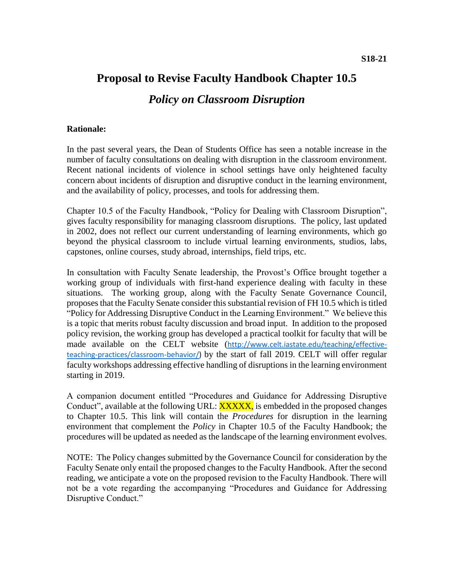# **Proposal to Revise Faculty Handbook Chapter 10.5**  *Policy on Classroom Disruption*

#### **Rationale:**

In the past several years, the Dean of Students Office has seen a notable increase in the number of faculty consultations on dealing with disruption in the classroom environment. Recent national incidents of violence in school settings have only heightened faculty concern about incidents of disruption and disruptive conduct in the learning environment, and the availability of policy, processes, and tools for addressing them.

Chapter 10.5 of the Faculty Handbook, "Policy for Dealing with Classroom Disruption", gives faculty responsibility for managing classroom disruptions. The policy, last updated in 2002, does not reflect our current understanding of learning environments, which go beyond the physical classroom to include virtual learning environments, studios, labs, capstones, online courses, study abroad, internships, field trips, etc.

In consultation with Faculty Senate leadership, the Provost's Office brought together a working group of individuals with first-hand experience dealing with faculty in these situations. The working group, along with the Faculty Senate Governance Council, proposes that the Faculty Senate consider this substantial revision of FH 10.5 which is titled "Policy for Addressing Disruptive Conduct in the Learning Environment." We believe this is a topic that merits robust faculty discussion and broad input. In addition to the proposed policy revision, the working group has developed a practical toolkit for faculty that will be made available on the CELT website ([http://www.celt.iastate.edu/teaching/effective](http://www.celt.iastate.edu/teaching/effective-teaching-practices/classroom-behavior/)[teaching-practices/classroom-behavior/\)](http://www.celt.iastate.edu/teaching/effective-teaching-practices/classroom-behavior/) by the start of fall 2019. CELT will offer regular faculty workshops addressing effective handling of disruptions in the learning environment starting in 2019.

A companion document entitled "Procedures and Guidance for Addressing Disruptive Conduct", available at the following URL: **XXXXX**, is embedded in the proposed changes to Chapter 10.5. This link will contain the *Procedures* for disruption in the learning environment that complement the *Policy* in Chapter 10.5 of the Faculty Handbook; the procedures will be updated as needed as the landscape of the learning environment evolves.

NOTE: The Policy changes submitted by the Governance Council for consideration by the Faculty Senate only entail the proposed changes to the Faculty Handbook. After the second reading, we anticipate a vote on the proposed revision to the Faculty Handbook. There will not be a vote regarding the accompanying "Procedures and Guidance for Addressing Disruptive Conduct."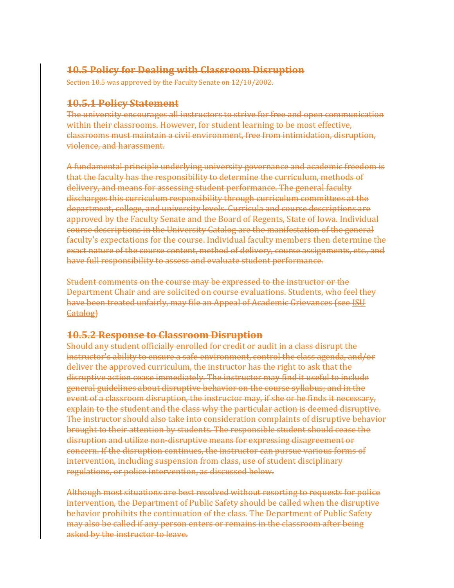## **10.5 Policy for Dealing with Classroom Disruption**

Section 10.5 was approved by the Faculty Senate on 12/10/2002.

## **10.5.1 Policy Statement**

The university encourages all instructors to strive for free and open communication within their classrooms. However, for student learning to be most effective, classrooms must maintain a civil environment, free from intimidation, disruption, violence, and harassment.

A fundamental principle underlying university governance and academic freedom is that the faculty has the responsibility to determine the curriculum, methods of delivery, and means for assessing student performance. The general faculty discharges this curriculum responsibility through curriculum committees at the department, college, and university levels. Curricula and course descriptions are approved by the Faculty Senate and the Board of Regents, State of Iowa. Individual course descriptions in the University Catalog are the manifestation of the general faculty's expectations for the course. Individual faculty members then determine the exact nature of the course content, method of delivery, course assignments, etc., and have full responsibility to assess and evaluate student performance.

Student comments on the course may be expressed to the instructor or the Department Chair and are solicited on course evaluations. Students, who feel they have been treated unfairly, may file an Appeal of Academic Grievances (see ISU Catalog)

### **10.5.2 Response to Classroom Disruption**

Should any student officially enrolled for credit or audit in a class disrupt the instructor's ability to ensure a safe environment, control the class agenda, and/or deliver the approved curriculum, the instructor has the right to ask that the disruptive action cease immediately. The instructor may find it useful to include general guidelines about disruptive behavior on the course syllabus; and in the event of a classroom disruption, the instructor may, if she or he finds it necessary, explain to the student and the class why the particular action is deemed disruptive. The instructor should also take into consideration complaints of disruptive behavior brought to their attention by students. The responsible student should cease the disruption and utilize non-disruptive means for expressing disagreement or concern. If the disruption continues, the instructor can pursue various forms of intervention, including suspension from class, use of student disciplinary regulations, or police intervention, as discussed below.

Although most situations are best resolved without resorting to requests for police intervention, the Department of Public Safety should be called when the disruptive behavior prohibits the continuation of the class. The Department of Public Safety may also be called if any person enters or remains in the classroom after being asked by the instructor to leave.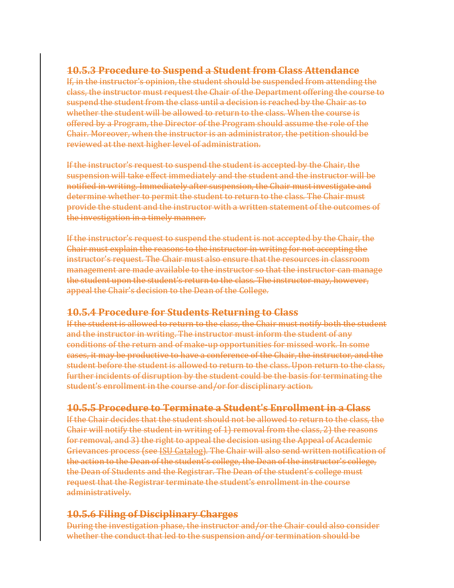## **10.5.3 Procedure to Suspend a Student from Class Attendance**

If, in the instructor's opinion, the student should be suspended from attending the class, the instructor must request the Chair of the Department offering the course to suspend the student from the class until a decision is reached by the Chair as to whether the student will be allowed to return to the class. When the course is offered by a Program, the Director of the Program should assume the role of the Chair. Moreover, when the instructor is an administrator, the petition should be reviewed at the next higher level of administration.

If the instructor's request to suspend the student is accepted by the Chair, the suspension will take effect immediately and the student and the instructor will be notified in writing. Immediately after suspension, the Chair must investigate and determine whether to permit the student to return to the class. The Chair must provide the student and the instructor with a written statement of the outcomes of the investigation in a timely manner.

If the instructor's request to suspend the student is not accepted by the Chair, the Chair must explain the reasons to the instructor in writing for not accepting the instructor's request. The Chair must also ensure that the resources in classroom management are made available to the instructor so that the instructor can manage the student upon the student's return to the class. The instructor may, however, appeal the Chair's decision to the Dean of the College.

## **10.5.4 Procedure for Students Returning to Class**

If the student is allowed to return to the class, the Chair must notify both the student and the instructor in writing. The instructor must inform the student of any conditions of the return and of make-up opportunities for missed work. In some cases, it may be productive to have a conference of the Chair, the instructor, and the student before the student is allowed to return to the class. Upon return to the class, further incidents of disruption by the student could be the basis for terminating the student's enrollment in the course and/or for disciplinary action.

## **10.5.5 Procedure to Terminate a Student's Enrollment in a Class**

If the Chair decides that the student should not be allowed to return to the class, the Chair will notify the student in writing of 1) removal from the class, 2) the reasons for removal, and 3) the right to appeal the decision using the Appeal of Academic Grievances process (see ISU Catalog). The Chair will also send written notification of the action to the Dean of the student's college, the Dean of the instructor's college, the Dean of Students and the Registrar. The Dean of the student's college must request that the Registrar terminate the student's enrollment in the course administratively.

## **10.5.6 Filing of Disciplinary Charges**

During the investigation phase, the instructor and/or the Chair could also consider whether the conduct that led to the suspension and/or termination should be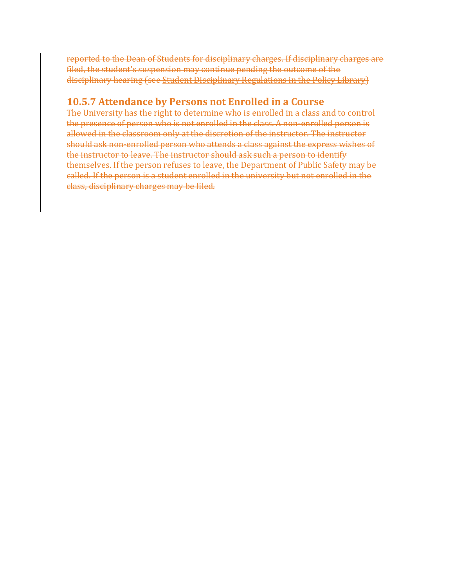reported to the Dean of Students for disciplinary charges. If disciplinary charges are filed, the student's suspension may continue pending the outcome of the disciplinary hearing (see Student Disciplinary Regulations in the Policy Library)

## **10.5.7 Attendance by Persons not Enrolled in a Course**

The University has the right to determine who is enrolled in a class and to control the presence of person who is not enrolled in the class. A non-enrolled person is allowed in the classroom only at the discretion of the instructor. The instructor should ask non-enrolled person who attends a class against the express wishes of the instructor to leave. The instructor should ask such a person to identify themselves. If the person refuses to leave, the Department of Public Safety may be called. If the person is a student enrolled in the university but not enrolled in the class, disciplinary charges may be filed.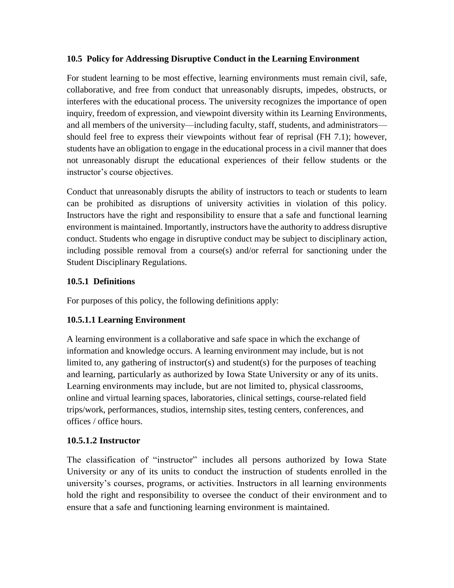#### **10.5 Policy for Addressing Disruptive Conduct in the Learning Environment**

For student learning to be most effective, learning environments must remain civil, safe, collaborative, and free from conduct that unreasonably disrupts, impedes, obstructs, or interferes with the educational process. The university recognizes the importance of open inquiry, freedom of expression, and viewpoint diversity within its Learning Environments, and all members of the university—including faculty, staff, students, and administrators should feel free to express their viewpoints without fear of reprisal (FH 7.1); however, students have an obligation to engage in the educational process in a civil manner that does not unreasonably disrupt the educational experiences of their fellow students or the instructor's course objectives.

Conduct that unreasonably disrupts the ability of instructors to teach or students to learn can be prohibited as disruptions of university activities in violation of this policy. Instructors have the right and responsibility to ensure that a safe and functional learning environment is maintained. Importantly, instructors have the authority to address disruptive conduct. Students who engage in disruptive conduct may be subject to disciplinary action, including possible removal from a course(s) and/or referral for sanctioning under the Student Disciplinary Regulations.

### **10.5.1 Definitions**

For purposes of this policy, the following definitions apply:

### **10.5.1.1 Learning Environment**

A learning environment is a collaborative and safe space in which the exchange of information and knowledge occurs. A learning environment may include, but is not limited to, any gathering of instructor(s) and student(s) for the purposes of teaching and learning, particularly as authorized by Iowa State University or any of its units. Learning environments may include, but are not limited to, physical classrooms, online and virtual learning spaces, laboratories, clinical settings, course-related field trips/work, performances, studios, internship sites, testing centers, conferences, and offices / office hours.

### **10.5.1.2 Instructor**

The classification of "instructor" includes all persons authorized by Iowa State University or any of its units to conduct the instruction of students enrolled in the university's courses, programs, or activities. Instructors in all learning environments hold the right and responsibility to oversee the conduct of their environment and to ensure that a safe and functioning learning environment is maintained.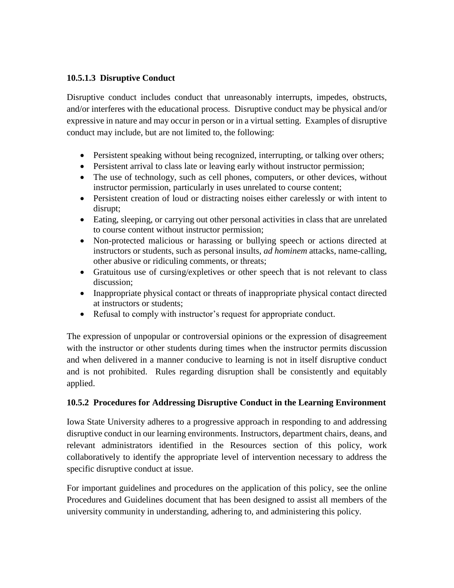#### **10.5.1.3 Disruptive Conduct**

Disruptive conduct includes conduct that unreasonably interrupts, impedes, obstructs, and/or interferes with the educational process. Disruptive conduct may be physical and/or expressive in nature and may occur in person or in a virtual setting. Examples of disruptive conduct may include, but are not limited to, the following:

- Persistent speaking without being recognized, interrupting, or talking over others;
- Persistent arrival to class late or leaving early without instructor permission;
- The use of technology, such as cell phones, computers, or other devices, without instructor permission, particularly in uses unrelated to course content;
- Persistent creation of loud or distracting noises either carelessly or with intent to disrupt;
- Eating, sleeping, or carrying out other personal activities in class that are unrelated to course content without instructor permission;
- Non-protected malicious or harassing or bullying speech or actions directed at instructors or students, such as personal insults, *ad hominem* attacks, name-calling, other abusive or ridiculing comments, or threats;
- Gratuitous use of cursing/expletives or other speech that is not relevant to class discussion;
- Inappropriate physical contact or threats of inappropriate physical contact directed at instructors or students;
- Refusal to comply with instructor's request for appropriate conduct.

The expression of unpopular or controversial opinions or the expression of disagreement with the instructor or other students during times when the instructor permits discussion and when delivered in a manner conducive to learning is not in itself disruptive conduct and is not prohibited. Rules regarding disruption shall be consistently and equitably applied.

#### **10.5.2 Procedures for Addressing Disruptive Conduct in the Learning Environment**

Iowa State University adheres to a progressive approach in responding to and addressing disruptive conduct in our learning environments. Instructors, department chairs, deans, and relevant administrators identified in the Resources section of this policy, work collaboratively to identify the appropriate level of intervention necessary to address the specific disruptive conduct at issue.

For important guidelines and procedures on the application of this policy, see the online Procedures and Guidelines document that has been designed to assist all members of the university community in understanding, adhering to, and administering this policy.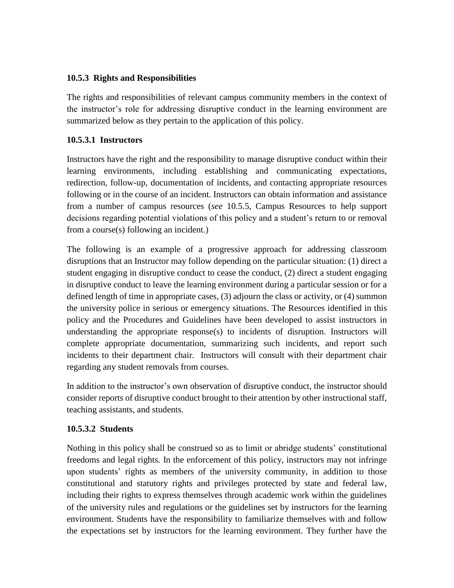#### **10.5.3 Rights and Responsibilities**

The rights and responsibilities of relevant campus community members in the context of the instructor's role for addressing disruptive conduct in the learning environment are summarized below as they pertain to the application of this policy.

#### **10.5.3.1 Instructors**

Instructors have the right and the responsibility to manage disruptive conduct within their learning environments, including establishing and communicating expectations, redirection, follow-up, documentation of incidents, and contacting appropriate resources following or in the course of an incident. Instructors can obtain information and assistance from a number of campus resources (*see* 10.5.5, Campus Resources to help support decisions regarding potential violations of this policy and a student's return to or removal from a course(s) following an incident.)

The following is an example of a progressive approach for addressing classroom disruptions that an Instructor may follow depending on the particular situation: (1) direct a student engaging in disruptive conduct to cease the conduct, (2) direct a student engaging in disruptive conduct to leave the learning environment during a particular session or for a defined length of time in appropriate cases, (3) adjourn the class or activity, or (4) summon the university police in serious or emergency situations. The Resources identified in this policy and the Procedures and Guidelines have been developed to assist instructors in understanding the appropriate response $(s)$  to incidents of disruption. Instructors will complete appropriate documentation, summarizing such incidents, and report such incidents to their department chair. Instructors will consult with their department chair regarding any student removals from courses.

In addition to the instructor's own observation of disruptive conduct, the instructor should consider reports of disruptive conduct brought to their attention by other instructional staff, teaching assistants, and students.

### **10.5.3.2 Students**

Nothing in this policy shall be construed so as to limit or abridge students' constitutional freedoms and legal rights. In the enforcement of this policy, instructors may not infringe upon students' rights as members of the university community, in addition to those constitutional and statutory rights and privileges protected by state and federal law, including their rights to express themselves through academic work within the guidelines of the university rules and regulations or the guidelines set by instructors for the learning environment. Students have the responsibility to familiarize themselves with and follow the expectations set by instructors for the learning environment. They further have the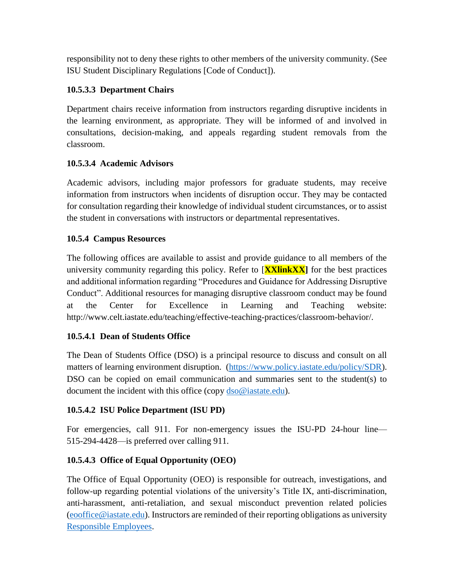responsibility not to deny these rights to other members of the university community. (See ISU Student Disciplinary Regulations [Code of Conduct]).

#### **10.5.3.3 Department Chairs**

Department chairs receive information from instructors regarding disruptive incidents in the learning environment, as appropriate. They will be informed of and involved in consultations, decision-making, and appeals regarding student removals from the classroom.

#### **10.5.3.4 Academic Advisors**

Academic advisors, including major professors for graduate students, may receive information from instructors when incidents of disruption occur. They may be contacted for consultation regarding their knowledge of individual student circumstances, or to assist the student in conversations with instructors or departmental representatives.

#### **10.5.4 Campus Resources**

The following offices are available to assist and provide guidance to all members of the university community regarding this policy. Refer to [**XXlinkXX]** for the best practices and additional information regarding "Procedures and Guidance for Addressing Disruptive Conduct". Additional resources for managing disruptive classroom conduct may be found at the Center for Excellence in Learning and Teaching website: http://www.celt.iastate.edu/teaching/effective-teaching-practices/classroom-behavior/.

#### **10.5.4.1 Dean of Students Office**

The Dean of Students Office (DSO) is a principal resource to discuss and consult on all matters of learning environment disruption. [\(https://www.policy.iastate.edu/policy/SDR\)](https://www.policy.iastate.edu/policy/SDR). DSO can be copied on email communication and summaries sent to the student(s) to document the incident with this office (copy  $\frac{d}{d}$ so $\textcircled{a}$  iastate.edu).

#### **10.5.4.2 ISU Police Department (ISU PD)**

For emergencies, call 911. For non-emergency issues the ISU-PD 24-hour line— 515-294-4428—is preferred over calling 911.

#### **10.5.4.3 Office of Equal Opportunity (OEO)**

The Office of Equal Opportunity (OEO) is responsible for outreach, investigations, and follow-up regarding potential violations of the university's Title IX, anti-discrimination, anti-harassment, anti-retaliation, and sexual misconduct prevention related policies [\(eooffice@iastate.edu\)](mailto:eooffice@iastate.edu). Instructors are reminded of their reporting obligations as university [Responsible Employees.](https://www.sexualmisconduct.dso.iastate.edu/faculty-and-staff)